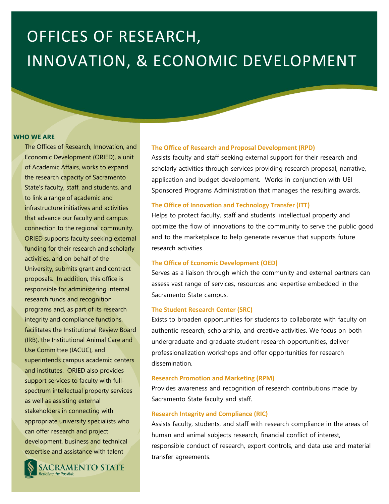# OFFICES OF RESEARCH, INNOVATION, & ECONOMIC DEVELOPMENT

#### **WHO WE ARE**

The Offices of Research, Innovation, and Economic Development (ORIED), a unit of Academic Affairs, works to expand the research capacity of Sacramento State's faculty, staff, and students, and to link a range of academic and infrastructure initiatives and activities that advance our faculty and campus connection to the regional community. ORIED supports faculty seeking external funding for their research and scholarly activities, and on behalf of the University, submits grant and contract proposals. In addition, this office is responsible for administering internal research funds and recognition programs and, as part of its research integrity and compliance functions, facilitates the Institutional Review Board (IRB), the Institutional Animal Care and Use Committee (IACUC), and superintends campus academic centers and institutes. ORIED also provides support services to faculty with fullspectrum intellectual property services as well as assisting external stakeholders in connecting with appropriate university specialists who can offer research and project development, business and technical expertise and assistance with talent



SACRAMENTO STATE  $\overline{\phantom{a}}$  modelline the rossible

## **The Office of Research and Proposal Development (RPD)**

Assists faculty and staff seeking external support for their research and scholarly activities through services providing research proposal, narrative, application and budget development. Works in conjunction with UEI Sponsored Programs Administration that manages the resulting awards.

## **The Office of Innovation and Technology Transfer (ITT)**

Helps to protect faculty, staff and students' intellectual property and optimize the flow of innovations to the community to serve the public good and to the marketplace to help generate revenue that supports future research activities.

#### **The Office of Economic Development (OED)**

Serves as a liaison through which the community and external partners can assess vast range of services, resources and expertise embedded in the Sacramento State campus.

## **The Student Research Center (SRC)**

Exists to broaden opportunities for students to collaborate with faculty on authentic research, scholarship, and creative activities. We focus on both undergraduate and graduate student research opportunities, deliver professionalization workshops and offer opportunities for research dissemination.

#### **Research Promotion and Marketing (RPM)**

Provides awareness and recognition of research contributions made by Sacramento State faculty and staff.

#### **Research Integrity and Compliance (RIC)**

Assists faculty, students, and staff with research compliance in the areas of human and animal subjects research, financial conflict of interest, responsible conduct of research, export controls, and data use and material transfer agreements.